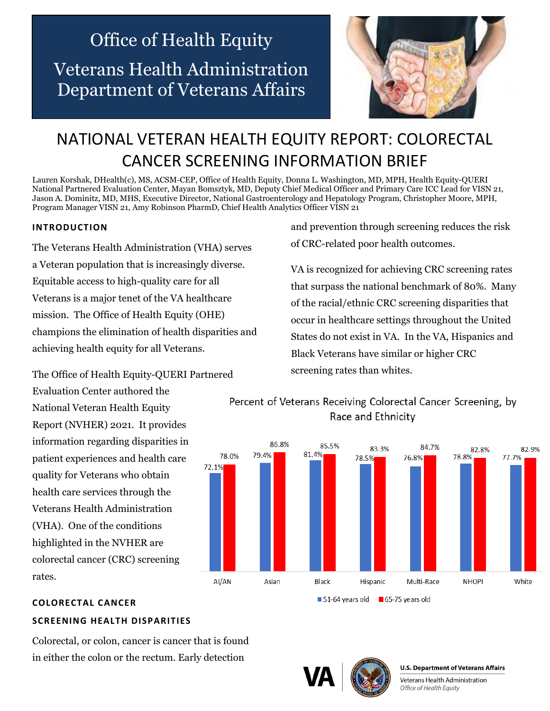# Office of Health Equity Veterans Health Administration Department of Veterans Affairs



## NATIONAL VETERAN HEALTH EQUITY REPORT: COLORECTAL CANCER SCREENING INFORMATION BRIEF

Lauren Korshak, DHealth(c), MS, ACSM-CEP, Office of Health Equity, Donna L. Washington, MD, MPH, Health Equity-QUERI National Partnered Evaluation Center, Mayan Bomsztyk, MD, Deputy Chief Medical Officer and Primary Care ICC Lead for VISN 21, Jason A. Dominitz, MD, MHS, Executive Director, National Gastroenterology and Hepatology Program, Christopher Moore, MPH, Program Manager VISN 21, Amy Robinson PharmD, Chief Health Analytics Officer VISN 21

#### **INTRODUCTION**

The Veterans Health Administration (VHA) serves a Veteran population that is increasingly diverse. Equitable access to high-quality care for all Veterans is a major tenet of the VA healthcare mission. The Office of Health Equity (OHE) champions the elimination of health disparities and achieving health equity for all Veterans.

The Office of Health Equity-QUERI Partnered

Evaluation Center authored the National Veteran Health Equity Report (NVHER) 2021. It provides information regarding disparities in patient experiences and health care quality for Veterans who obtain health care services through the Veterans Health Administration (VHA). One of the conditions highlighted in the NVHER are colorectal cancer (CRC) screening rates.

and prevention through screening reduces the risk of CRC-related poor health outcomes.

VA is recognized for achieving CRC screening rates that surpass the national benchmark of 80%. Many of the racial/ethnic CRC screening disparities that occur in healthcare settings throughout the United States do not exist in VA. In the VA, Hispanics and Black Veterans have similar or higher CRC screening rates than whites.

#### Percent of Veterans Receiving Colorectal Cancer Screening, by Race and Ethnicity



### **COLORECTAL CANCER SCREENING HEALTH DISPARITIES**

Colorectal, or colon, cancer is cancer that is found in either the colon or the rectum. Early detection



**U.S. Department of Veterans Affairs** 

Veterans Health Administration Office of Health Equity